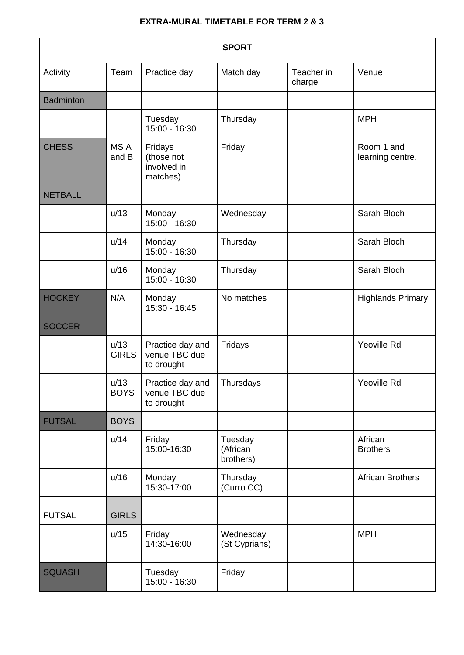## **EXTRA-MURAL TIMETABLE FOR TERM 2 & 3**

| <b>SPORT</b>     |                      |                                                  |                                  |                      |                                |  |  |
|------------------|----------------------|--------------------------------------------------|----------------------------------|----------------------|--------------------------------|--|--|
| Activity         | Team                 | Practice day                                     | Match day                        | Teacher in<br>charge | Venue                          |  |  |
| <b>Badminton</b> |                      |                                                  |                                  |                      |                                |  |  |
|                  |                      | Tuesday<br>15:00 - 16:30                         | Thursday                         |                      | <b>MPH</b>                     |  |  |
| <b>CHESS</b>     | MS A<br>and B        | Fridays<br>(those not<br>involved in<br>matches) | Friday                           |                      | Room 1 and<br>learning centre. |  |  |
| <b>NETBALL</b>   |                      |                                                  |                                  |                      |                                |  |  |
|                  | u/13                 | Monday<br>15:00 - 16:30                          | Wednesday                        |                      | Sarah Bloch                    |  |  |
|                  | u/14                 | Monday<br>15:00 - 16:30                          | Thursday                         |                      | Sarah Bloch                    |  |  |
|                  | u/16                 | Monday<br>15:00 - 16:30                          | Thursday                         |                      | Sarah Bloch                    |  |  |
| <b>HOCKEY</b>    | N/A                  | Monday<br>15:30 - 16:45                          | No matches                       |                      | <b>Highlands Primary</b>       |  |  |
| <b>SOCCER</b>    |                      |                                                  |                                  |                      |                                |  |  |
|                  | u/13<br><b>GIRLS</b> | Practice day and<br>venue TBC due<br>to drought  | Fridays                          |                      | Yeoville Rd                    |  |  |
|                  | u/13<br><b>BOYS</b>  | Practice day and<br>venue TBC due<br>to drought  | Thursdays                        |                      | Yeoville Rd                    |  |  |
| <b>FUTSAL</b>    | <b>BOYS</b>          |                                                  |                                  |                      |                                |  |  |
|                  | u/14                 | Friday<br>15:00-16:30                            | Tuesday<br>(African<br>brothers) |                      | African<br><b>Brothers</b>     |  |  |
|                  | u/16                 | Monday<br>15:30-17:00                            | Thursday<br>(Curro CC)           |                      | <b>African Brothers</b>        |  |  |
| <b>FUTSAL</b>    | <b>GIRLS</b>         |                                                  |                                  |                      |                                |  |  |
|                  | u/15                 | Friday<br>14:30-16:00                            | Wednesday<br>(St Cyprians)       |                      | <b>MPH</b>                     |  |  |
| <b>SQUASH</b>    |                      | Tuesday<br>15:00 - 16:30                         | Friday                           |                      |                                |  |  |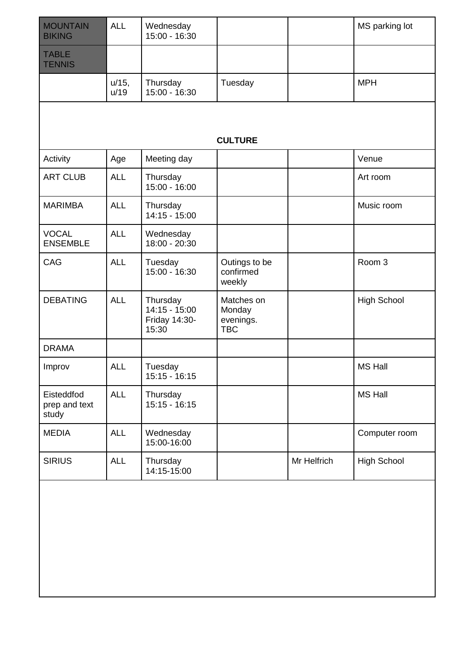| <b>MOUNTAIN</b><br><b>BIKING</b>     | <b>ALL</b>       | Wednesday<br>$15:00 - 16:30$                        |                                                 |             | MS parking lot     |  |  |  |
|--------------------------------------|------------------|-----------------------------------------------------|-------------------------------------------------|-------------|--------------------|--|--|--|
| <b>TABLE</b><br><b>TENNIS</b>        |                  |                                                     |                                                 |             |                    |  |  |  |
|                                      | $u/15$ ,<br>u/19 | Thursday<br>15:00 - 16:30                           | Tuesday                                         |             | <b>MPH</b>         |  |  |  |
|                                      |                  |                                                     |                                                 |             |                    |  |  |  |
| <b>CULTURE</b>                       |                  |                                                     |                                                 |             |                    |  |  |  |
| Activity                             | Age              | Meeting day                                         |                                                 |             | Venue              |  |  |  |
| <b>ART CLUB</b>                      | <b>ALL</b>       | Thursday<br>$15:00 - 16:00$                         |                                                 |             | Art room           |  |  |  |
| <b>MARIMBA</b>                       | <b>ALL</b>       | Thursday<br>$14:15 - 15:00$                         |                                                 |             | Music room         |  |  |  |
| <b>VOCAL</b><br><b>ENSEMBLE</b>      | <b>ALL</b>       | Wednesday<br>18:00 - 20:30                          |                                                 |             |                    |  |  |  |
| CAG                                  | <b>ALL</b>       | Tuesday<br>15:00 - 16:30                            | Outings to be<br>confirmed<br>weekly            |             | Room 3             |  |  |  |
| <b>DEBATING</b>                      | <b>ALL</b>       | Thursday<br>14:15 - 15:00<br>Friday 14:30-<br>15:30 | Matches on<br>Monday<br>evenings.<br><b>TBC</b> |             | <b>High School</b> |  |  |  |
| <b>DRAMA</b>                         |                  |                                                     |                                                 |             |                    |  |  |  |
| Improv                               | <b>ALL</b>       | Tuesday<br>$15:15 - 16:15$                          |                                                 |             | <b>MS Hall</b>     |  |  |  |
| Eisteddfod<br>prep and text<br>study | <b>ALL</b>       | Thursday<br>$15:15 - 16:15$                         |                                                 |             | <b>MS Hall</b>     |  |  |  |
| <b>MEDIA</b>                         | <b>ALL</b>       | Wednesday<br>15:00-16:00                            |                                                 |             | Computer room      |  |  |  |
| <b>SIRIUS</b>                        | <b>ALL</b>       | Thursday<br>14:15-15:00                             |                                                 | Mr Helfrich | <b>High School</b> |  |  |  |
|                                      |                  |                                                     |                                                 |             |                    |  |  |  |
|                                      |                  |                                                     |                                                 |             |                    |  |  |  |